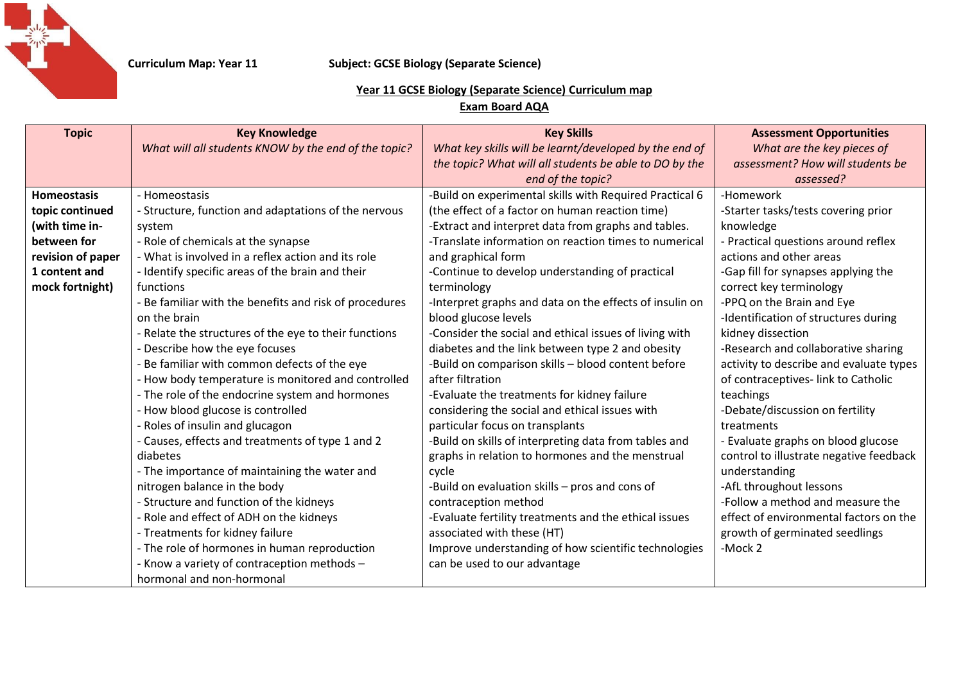

## **Curriculum Map: Year 11 Subject: GCSE Biology (Separate Science)**

## **Year 11 GCSE Biology (Separate Science) Curriculum map**

**Exam Board AQA**

| <b>Topic</b>       | <b>Key Knowledge</b>                                   | <b>Key Skills</b>                                       | <b>Assessment Opportunities</b>         |
|--------------------|--------------------------------------------------------|---------------------------------------------------------|-----------------------------------------|
|                    | What will all students KNOW by the end of the topic?   | What key skills will be learnt/developed by the end of  | What are the key pieces of              |
|                    |                                                        | the topic? What will all students be able to DO by the  | assessment? How will students be        |
|                    |                                                        | end of the topic?                                       | assessed?                               |
| <b>Homeostasis</b> | - Homeostasis                                          | -Build on experimental skills with Required Practical 6 | -Homework                               |
| topic continued    | - Structure, function and adaptations of the nervous   | (the effect of a factor on human reaction time)         | -Starter tasks/tests covering prior     |
| (with time in-     | system                                                 | -Extract and interpret data from graphs and tables.     | knowledge                               |
| between for        | - Role of chemicals at the synapse                     | -Translate information on reaction times to numerical   | - Practical questions around reflex     |
| revision of paper  | - What is involved in a reflex action and its role     | and graphical form                                      | actions and other areas                 |
| 1 content and      | - Identify specific areas of the brain and their       | -Continue to develop understanding of practical         | -Gap fill for synapses applying the     |
| mock fortnight)    | functions                                              | terminology                                             | correct key terminology                 |
|                    | - Be familiar with the benefits and risk of procedures | -Interpret graphs and data on the effects of insulin on | -PPQ on the Brain and Eye               |
|                    | on the brain                                           | blood glucose levels                                    | -Identification of structures during    |
|                    | - Relate the structures of the eye to their functions  | -Consider the social and ethical issues of living with  | kidney dissection                       |
|                    | - Describe how the eye focuses                         | diabetes and the link between type 2 and obesity        | -Research and collaborative sharing     |
|                    | - Be familiar with common defects of the eye           | -Build on comparison skills - blood content before      | activity to describe and evaluate types |
|                    | - How body temperature is monitored and controlled     | after filtration                                        | of contraceptives-link to Catholic      |
|                    | - The role of the endocrine system and hormones        | -Evaluate the treatments for kidney failure             | teachings                               |
|                    | - How blood glucose is controlled                      | considering the social and ethical issues with          | -Debate/discussion on fertility         |
|                    | - Roles of insulin and glucagon                        | particular focus on transplants                         | treatments                              |
|                    | - Causes, effects and treatments of type 1 and 2       | -Build on skills of interpreting data from tables and   | - Evaluate graphs on blood glucose      |
|                    | diabetes                                               | graphs in relation to hormones and the menstrual        | control to illustrate negative feedback |
|                    | - The importance of maintaining the water and          | cycle                                                   | understanding                           |
|                    | nitrogen balance in the body                           | -Build on evaluation skills - pros and cons of          | -AfL throughout lessons                 |
|                    | - Structure and function of the kidneys                | contraception method                                    | -Follow a method and measure the        |
|                    | - Role and effect of ADH on the kidneys                | -Evaluate fertility treatments and the ethical issues   | effect of environmental factors on the  |
|                    | - Treatments for kidney failure                        | associated with these (HT)                              | growth of germinated seedlings          |
|                    | - The role of hormones in human reproduction           | Improve understanding of how scientific technologies    | -Mock 2                                 |
|                    | - Know a variety of contraception methods -            | can be used to our advantage                            |                                         |
|                    | hormonal and non-hormonal                              |                                                         |                                         |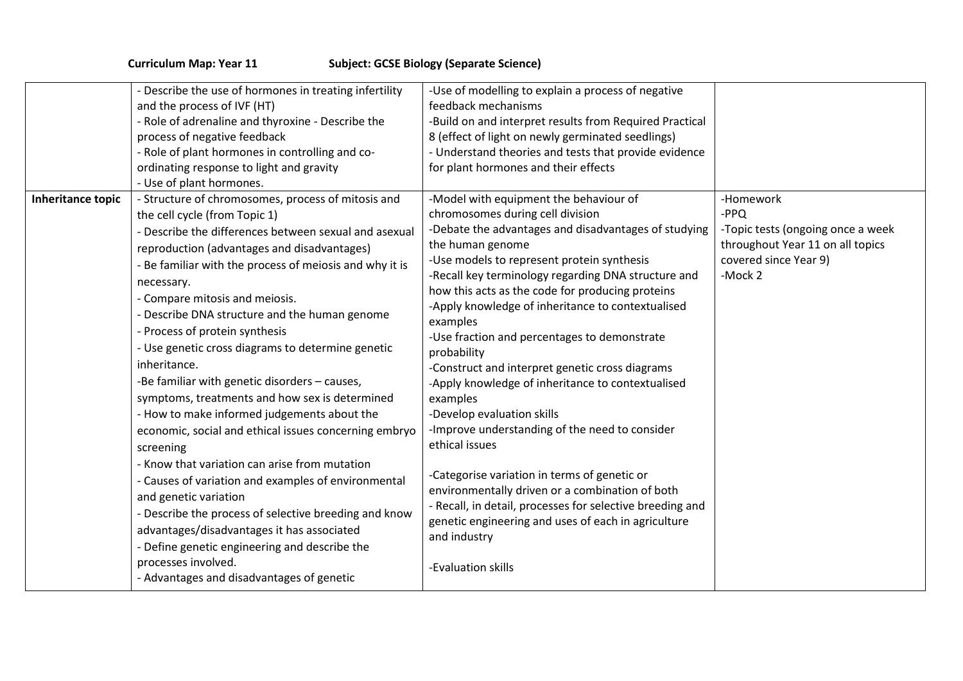|  | <b>Curriculum Map: Year 11</b> |  |  |  |  |
|--|--------------------------------|--|--|--|--|
|--|--------------------------------|--|--|--|--|

## **Curriculum Marson Subject: GCSE Biology (Separate Science)**

|                          | - Describe the use of hormones in treating infertility<br>and the process of IVF (HT)<br>- Role of adrenaline and thyroxine - Describe the<br>process of negative feedback<br>- Role of plant hormones in controlling and co-<br>ordinating response to light and gravity<br>- Use of plant hormones.                                                                                                                                                                                                                                                                                                                                                                                                                                                                                                                                                                                                                                                                                                                                               | -Use of modelling to explain a process of negative<br>feedback mechanisms<br>-Build on and interpret results from Required Practical<br>8 (effect of light on newly germinated seedlings)<br>- Understand theories and tests that provide evidence<br>for plant hormones and their effects                                                                                                                                                                                                                                                                                                                                                                                                                                                                                                                                                                                                                                         |                                                                                                                                |
|--------------------------|-----------------------------------------------------------------------------------------------------------------------------------------------------------------------------------------------------------------------------------------------------------------------------------------------------------------------------------------------------------------------------------------------------------------------------------------------------------------------------------------------------------------------------------------------------------------------------------------------------------------------------------------------------------------------------------------------------------------------------------------------------------------------------------------------------------------------------------------------------------------------------------------------------------------------------------------------------------------------------------------------------------------------------------------------------|------------------------------------------------------------------------------------------------------------------------------------------------------------------------------------------------------------------------------------------------------------------------------------------------------------------------------------------------------------------------------------------------------------------------------------------------------------------------------------------------------------------------------------------------------------------------------------------------------------------------------------------------------------------------------------------------------------------------------------------------------------------------------------------------------------------------------------------------------------------------------------------------------------------------------------|--------------------------------------------------------------------------------------------------------------------------------|
| <b>Inheritance topic</b> | - Structure of chromosomes, process of mitosis and<br>the cell cycle (from Topic 1)<br>- Describe the differences between sexual and asexual<br>reproduction (advantages and disadvantages)<br>- Be familiar with the process of meiosis and why it is<br>necessary.<br>- Compare mitosis and meiosis.<br>- Describe DNA structure and the human genome<br>- Process of protein synthesis<br>- Use genetic cross diagrams to determine genetic<br>inheritance.<br>-Be familiar with genetic disorders - causes,<br>symptoms, treatments and how sex is determined<br>- How to make informed judgements about the<br>economic, social and ethical issues concerning embryo<br>screening<br>- Know that variation can arise from mutation<br>- Causes of variation and examples of environmental<br>and genetic variation<br>- Describe the process of selective breeding and know<br>advantages/disadvantages it has associated<br>- Define genetic engineering and describe the<br>processes involved.<br>- Advantages and disadvantages of genetic | -Model with equipment the behaviour of<br>chromosomes during cell division<br>-Debate the advantages and disadvantages of studying<br>the human genome<br>-Use models to represent protein synthesis<br>-Recall key terminology regarding DNA structure and<br>how this acts as the code for producing proteins<br>-Apply knowledge of inheritance to contextualised<br>examples<br>-Use fraction and percentages to demonstrate<br>probability<br>-Construct and interpret genetic cross diagrams<br>-Apply knowledge of inheritance to contextualised<br>examples<br>-Develop evaluation skills<br>-Improve understanding of the need to consider<br>ethical issues<br>-Categorise variation in terms of genetic or<br>environmentally driven or a combination of both<br>- Recall, in detail, processes for selective breeding and<br>genetic engineering and uses of each in agriculture<br>and industry<br>-Evaluation skills | -Homework<br>-PPQ<br>-Topic tests (ongoing once a week<br>throughout Year 11 on all topics<br>covered since Year 9)<br>-Mock 2 |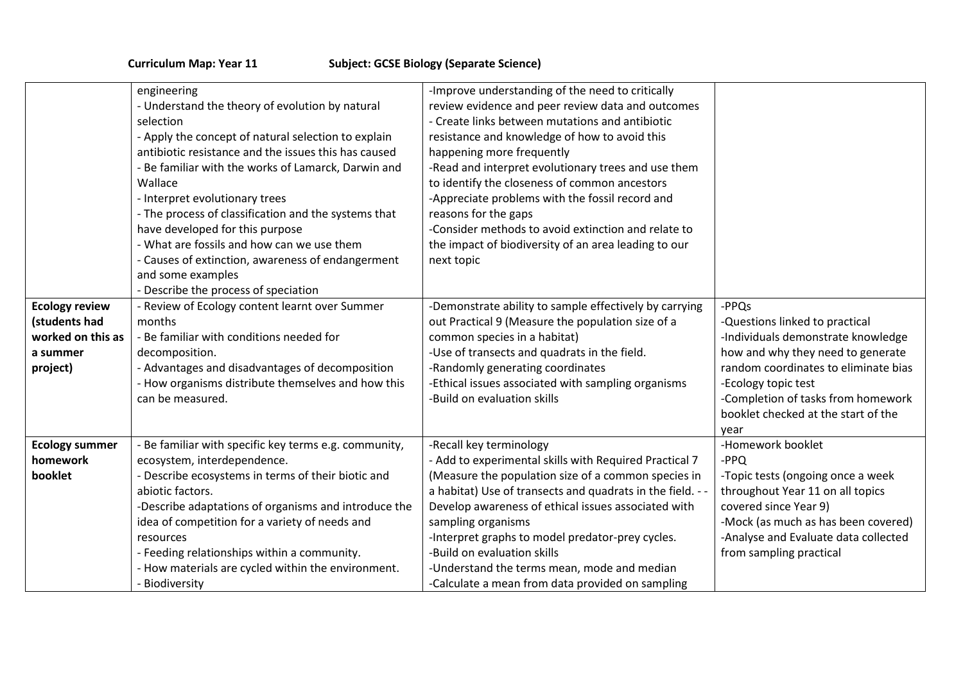| <b>Ecology review</b> | engineering<br>- Understand the theory of evolution by natural<br>selection<br>- Apply the concept of natural selection to explain<br>antibiotic resistance and the issues this has caused<br>- Be familiar with the works of Lamarck, Darwin and<br>Wallace<br>- Interpret evolutionary trees<br>- The process of classification and the systems that<br>have developed for this purpose<br>- What are fossils and how can we use them<br>- Causes of extinction, awareness of endangerment<br>and some examples<br>- Describe the process of speciation<br>Review of Ecology content learnt over Summer | -Improve understanding of the need to critically<br>review evidence and peer review data and outcomes<br>- Create links between mutations and antibiotic<br>resistance and knowledge of how to avoid this<br>happening more frequently<br>-Read and interpret evolutionary trees and use them<br>to identify the closeness of common ancestors<br>-Appreciate problems with the fossil record and<br>reasons for the gaps<br>-Consider methods to avoid extinction and relate to<br>the impact of biodiversity of an area leading to our<br>next topic<br>-Demonstrate ability to sample effectively by carrying | -PPQs                                |
|-----------------------|-----------------------------------------------------------------------------------------------------------------------------------------------------------------------------------------------------------------------------------------------------------------------------------------------------------------------------------------------------------------------------------------------------------------------------------------------------------------------------------------------------------------------------------------------------------------------------------------------------------|------------------------------------------------------------------------------------------------------------------------------------------------------------------------------------------------------------------------------------------------------------------------------------------------------------------------------------------------------------------------------------------------------------------------------------------------------------------------------------------------------------------------------------------------------------------------------------------------------------------|--------------------------------------|
| (students had         | months                                                                                                                                                                                                                                                                                                                                                                                                                                                                                                                                                                                                    | out Practical 9 (Measure the population size of a                                                                                                                                                                                                                                                                                                                                                                                                                                                                                                                                                                | -Questions linked to practical       |
| worked on this as     | - Be familiar with conditions needed for                                                                                                                                                                                                                                                                                                                                                                                                                                                                                                                                                                  | common species in a habitat)                                                                                                                                                                                                                                                                                                                                                                                                                                                                                                                                                                                     | -Individuals demonstrate knowledge   |
| a summer              | decomposition.                                                                                                                                                                                                                                                                                                                                                                                                                                                                                                                                                                                            | -Use of transects and quadrats in the field.                                                                                                                                                                                                                                                                                                                                                                                                                                                                                                                                                                     | how and why they need to generate    |
| project)              | - Advantages and disadvantages of decomposition                                                                                                                                                                                                                                                                                                                                                                                                                                                                                                                                                           | -Randomly generating coordinates                                                                                                                                                                                                                                                                                                                                                                                                                                                                                                                                                                                 | random coordinates to eliminate bias |
|                       | - How organisms distribute themselves and how this                                                                                                                                                                                                                                                                                                                                                                                                                                                                                                                                                        | -Ethical issues associated with sampling organisms                                                                                                                                                                                                                                                                                                                                                                                                                                                                                                                                                               | -Ecology topic test                  |
|                       | can be measured.                                                                                                                                                                                                                                                                                                                                                                                                                                                                                                                                                                                          | -Build on evaluation skills                                                                                                                                                                                                                                                                                                                                                                                                                                                                                                                                                                                      | -Completion of tasks from homework   |
|                       |                                                                                                                                                                                                                                                                                                                                                                                                                                                                                                                                                                                                           |                                                                                                                                                                                                                                                                                                                                                                                                                                                                                                                                                                                                                  | booklet checked at the start of the  |
|                       |                                                                                                                                                                                                                                                                                                                                                                                                                                                                                                                                                                                                           |                                                                                                                                                                                                                                                                                                                                                                                                                                                                                                                                                                                                                  | year                                 |
| <b>Ecology summer</b> | Be familiar with specific key terms e.g. community,                                                                                                                                                                                                                                                                                                                                                                                                                                                                                                                                                       | -Recall key terminology                                                                                                                                                                                                                                                                                                                                                                                                                                                                                                                                                                                          | -Homework booklet                    |
| homework              | ecosystem, interdependence.                                                                                                                                                                                                                                                                                                                                                                                                                                                                                                                                                                               | - Add to experimental skills with Required Practical 7                                                                                                                                                                                                                                                                                                                                                                                                                                                                                                                                                           | -PPQ                                 |
| booklet               | - Describe ecosystems in terms of their biotic and                                                                                                                                                                                                                                                                                                                                                                                                                                                                                                                                                        | (Measure the population size of a common species in                                                                                                                                                                                                                                                                                                                                                                                                                                                                                                                                                              | -Topic tests (ongoing once a week    |
|                       | abiotic factors.                                                                                                                                                                                                                                                                                                                                                                                                                                                                                                                                                                                          | a habitat) Use of transects and quadrats in the field. -                                                                                                                                                                                                                                                                                                                                                                                                                                                                                                                                                         | throughout Year 11 on all topics     |
|                       | -Describe adaptations of organisms and introduce the                                                                                                                                                                                                                                                                                                                                                                                                                                                                                                                                                      | Develop awareness of ethical issues associated with                                                                                                                                                                                                                                                                                                                                                                                                                                                                                                                                                              | covered since Year 9)                |
|                       | idea of competition for a variety of needs and                                                                                                                                                                                                                                                                                                                                                                                                                                                                                                                                                            | sampling organisms                                                                                                                                                                                                                                                                                                                                                                                                                                                                                                                                                                                               | -Mock (as much as has been covered)  |
|                       | resources                                                                                                                                                                                                                                                                                                                                                                                                                                                                                                                                                                                                 | -Interpret graphs to model predator-prey cycles.<br>-Build on evaluation skills                                                                                                                                                                                                                                                                                                                                                                                                                                                                                                                                  | -Analyse and Evaluate data collected |
|                       | - Feeding relationships within a community.<br>- How materials are cycled within the environment.                                                                                                                                                                                                                                                                                                                                                                                                                                                                                                         | -Understand the terms mean, mode and median                                                                                                                                                                                                                                                                                                                                                                                                                                                                                                                                                                      | from sampling practical              |
|                       | Biodiversity                                                                                                                                                                                                                                                                                                                                                                                                                                                                                                                                                                                              | -Calculate a mean from data provided on sampling                                                                                                                                                                                                                                                                                                                                                                                                                                                                                                                                                                 |                                      |
|                       |                                                                                                                                                                                                                                                                                                                                                                                                                                                                                                                                                                                                           |                                                                                                                                                                                                                                                                                                                                                                                                                                                                                                                                                                                                                  |                                      |